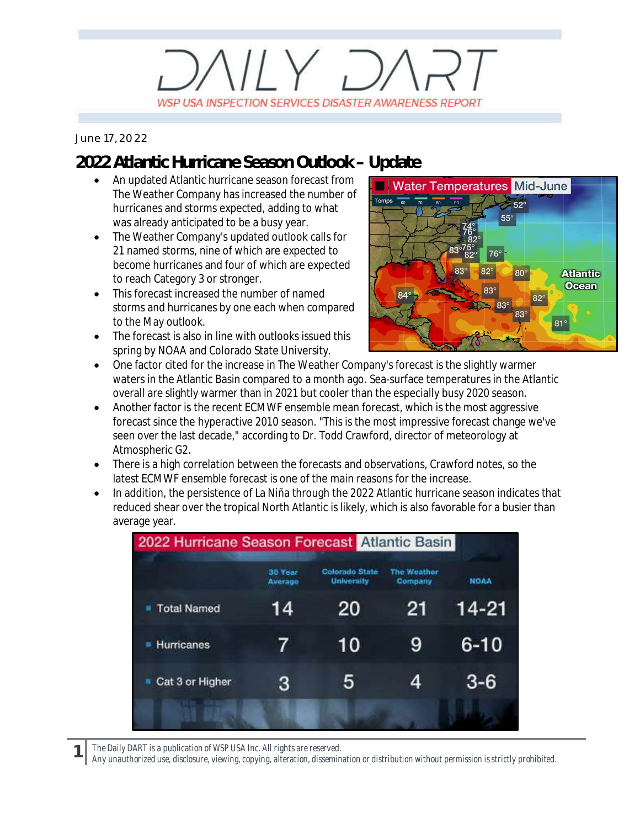# $11Y, 7$ WSP USA INSPECTION SERVICES DISASTER AWARENESS REPORT

#### *June 17, 2022*

### **2022 Atlantic Hurricane Season Outlook – Update**

- · An updated Atlantic hurricane season forecast from The Weather Company has increased the number of hurricanes and storms expected, adding to what was already anticipated to be a busy year.
- · The Weather Company's updated outlook calls for 21 named storms, nine of which are expected to become hurricanes and four of which are expected to reach Category 3 or stronger.
- · This forecast increased the number of named storms and hurricanes by one each when compared to the May outlook.
- The forecast is also in line with outlooks issued this spring by NOAA and Colorado State University.



- · One factor cited for the increase in The Weather Company's forecast is the slightly warmer waters in the Atlantic Basin compared to a month ago. Sea-surface temperatures in the Atlantic overall are slightly warmer than in 2021 but cooler than the especially busy 2020 season.
- · Another factor is the recent ECMWF ensemble mean forecast, which is the most aggressive forecast since the hyperactive 2010 season. "This is the most impressive forecast change we've seen over the last decade," according to Dr. Todd Crawford, director of meteorology at Atmospheric G2.
- · There is a high correlation between the forecasts and observations, Crawford notes, so the latest ECMWF ensemble forecast is one of the main reasons for the increase.
- · In addition, the persistence of La Niña through the 2022 Atlantic hurricane season indicates that reduced shear over the tropical North Atlantic is likely, which is also favorable for a busier than average year.

| 2022 Hurricane Season Forecast Atlantic Basin |                    |                                            |                               |             |
|-----------------------------------------------|--------------------|--------------------------------------------|-------------------------------|-------------|
|                                               | 30 Year<br>Average | <b>Colorado State</b><br><b>University</b> | <b>The Weather</b><br>Company | <b>NOAA</b> |
| <b>Total Named</b>                            | 14                 | 20                                         | 21                            | 14-21       |
| Hurricanes                                    | $\prime$           | 10                                         | 9                             | $6 - 10$    |
| Cat 3 or Higher                               | 3                  | 5                                          | 4                             | $3-6$       |
|                                               |                    |                                            |                               |             |

**1** *The Daily DART is a publication of WSP USA Inc. All rights are reserved.*

*Any unauthorized use, disclosure, viewing, copying, alteration, dissemination or distribution without permission is strictly prohibited.*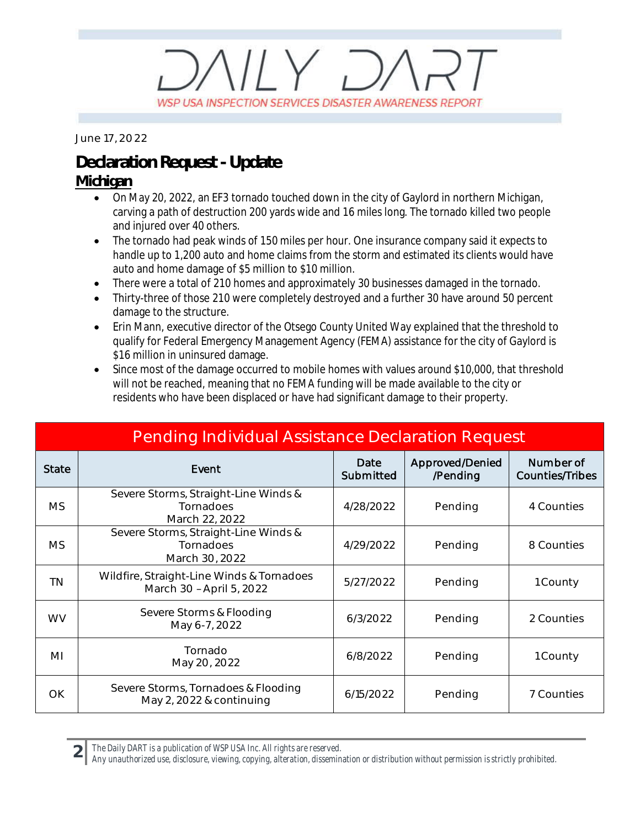## $\mathbb{N} \vee \mathbb{D}$ WSP USA INSPECTION SERVICES DISASTER AWARENESS REPORT

*June 17, 2022*

### **Declaration Request - Update**

#### **Michigan**

- · On May 20, 2022, an EF3 tornado touched down in the city of Gaylord in northern Michigan, carving a path of destruction 200 yards wide and 16 miles long. The tornado killed two people and injured over 40 others.
- · The tornado had peak winds of 150 miles per hour. One insurance company said it expects to handle up to 1,200 auto and home claims from the storm and estimated its clients would have auto and home damage of \$5 million to \$10 million.
- · There were a total of 210 homes and approximately 30 businesses damaged in the tornado.
- · Thirty-three of those 210 were completely destroyed and a further 30 have around 50 percent damage to the structure.
- Erin Mann, executive director of the Otsego County United Way explained that the threshold to qualify for Federal Emergency Management Agency (FEMA) assistance for the city of Gaylord is \$16 million in uninsured damage.
- Since most of the damage occurred to mobile homes with values around \$10,000, that threshold will not be reached, meaning that no FEMA funding will be made available to the city or residents who have been displaced or have had significant damage to their property.

| <b>Pending Individual Assistance Declaration Request</b> |                                                                       |                   |                             |                                     |  |  |  |
|----------------------------------------------------------|-----------------------------------------------------------------------|-------------------|-----------------------------|-------------------------------------|--|--|--|
| <b>State</b>                                             | Event                                                                 | Date<br>Submitted | Approved/Denied<br>/Pending | Number of<br><b>Counties/Tribes</b> |  |  |  |
| MS.                                                      | Severe Storms, Straight-Line Winds &<br>Tornadoes<br>March 22, 2022   | 4/28/2022         | Pending                     | 4 Counties                          |  |  |  |
| <b>MS</b>                                                | Severe Storms, Straight-Line Winds &<br>Tornadoes<br>March 30, 2022   | 4/29/2022         | Pending                     | 8 Counties                          |  |  |  |
| <b>TN</b>                                                | Wildfire, Straight-Line Winds & Tornadoes<br>March 30 - April 5, 2022 | 5/27/2022         | Pending                     | 1 County                            |  |  |  |
| <b>WV</b>                                                | Severe Storms & Flooding<br>May 6-7, 2022                             | 6/3/2022          | Pending                     | 2 Counties                          |  |  |  |
| MI                                                       | Tornado<br>May 20, 2022                                               | 6/8/2022          | Pending                     | 1 County                            |  |  |  |
| OK                                                       | Severe Storms, Tornadoes & Flooding<br>May 2, 2022 & continuing       | 6/15/2022         | Pending                     | 7 Counties                          |  |  |  |

*The Daily DART is a publication of WSP USA Inc. All rights are reserved.*

**2**

*Any unauthorized use, disclosure, viewing, copying, alteration, dissemination or distribution without permission is strictly prohibited.*